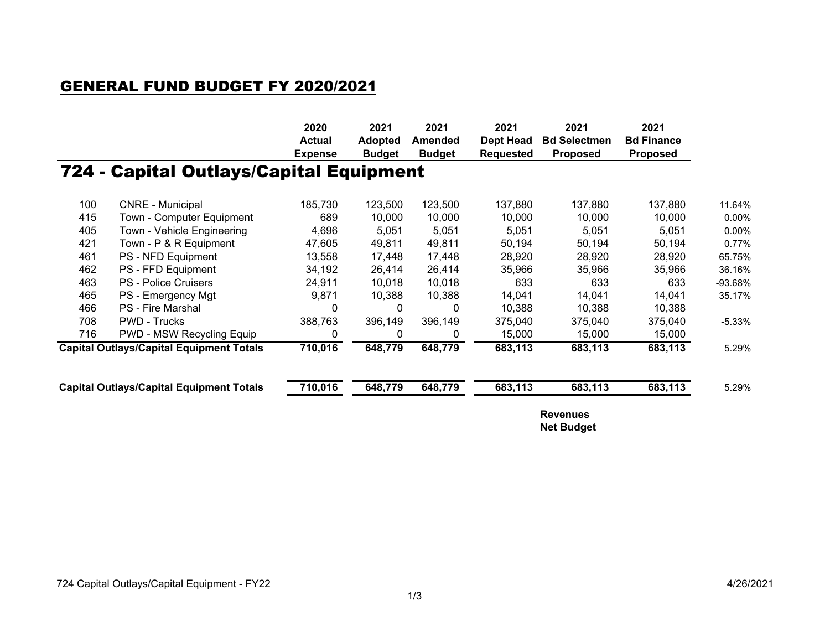## GENERAL FUND BUDGET FY 2020/2021

|                                         |                                                 | 2020<br><b>Actual</b><br><b>Expense</b> | 2021<br><b>Adopted</b><br><b>Budget</b> | 2021<br><b>Amended</b><br><b>Budget</b> | 2021<br><b>Dept Head</b><br><b>Requested</b> | 2021<br><b>Bd Selectmen</b><br><b>Proposed</b> | 2021<br><b>Bd Finance</b><br><b>Proposed</b> |           |  |  |  |  |
|-----------------------------------------|-------------------------------------------------|-----------------------------------------|-----------------------------------------|-----------------------------------------|----------------------------------------------|------------------------------------------------|----------------------------------------------|-----------|--|--|--|--|
| 724 - Capital Outlays/Capital Equipment |                                                 |                                         |                                         |                                         |                                              |                                                |                                              |           |  |  |  |  |
| 100                                     | <b>CNRE - Municipal</b>                         | 185,730                                 | 123,500                                 | 123,500                                 | 137,880                                      | 137,880                                        | 137,880                                      | 11.64%    |  |  |  |  |
| 415                                     | Town - Computer Equipment                       | 689                                     | 10,000                                  | 10,000                                  | 10,000                                       | 10,000                                         | 10,000                                       | $0.00\%$  |  |  |  |  |
| 405                                     | Town - Vehicle Engineering                      | 4,696                                   | 5,051                                   | 5,051                                   | 5,051                                        | 5,051                                          | 5,051                                        | $0.00\%$  |  |  |  |  |
| 421                                     | Town - P & R Equipment                          | 47,605                                  | 49,811                                  | 49,811                                  | 50,194                                       | 50,194                                         | 50,194                                       | 0.77%     |  |  |  |  |
| 461                                     | PS - NFD Equipment                              | 13,558                                  | 17,448                                  | 17,448                                  | 28,920                                       | 28,920                                         | 28,920                                       | 65.75%    |  |  |  |  |
| 462                                     | PS - FFD Equipment                              | 34,192                                  | 26,414                                  | 26,414                                  | 35,966                                       | 35,966                                         | 35,966                                       | 36.16%    |  |  |  |  |
| 463                                     | <b>PS - Police Cruisers</b>                     | 24,911                                  | 10,018                                  | 10,018                                  | 633                                          | 633                                            | 633                                          | -93.68%   |  |  |  |  |
| 465                                     | PS - Emergency Mgt                              | 9,871                                   | 10,388                                  | 10,388                                  | 14,041                                       | 14,041                                         | 14,041                                       | 35.17%    |  |  |  |  |
| 466                                     | PS - Fire Marshal                               | $\Omega$                                | $\mathbf{0}$                            | $\Omega$                                | 10,388                                       | 10,388                                         | 10,388                                       |           |  |  |  |  |
| 708                                     | <b>PWD - Trucks</b>                             | 388,763                                 | 396,149                                 | 396,149                                 | 375,040                                      | 375,040                                        | 375,040                                      | $-5.33\%$ |  |  |  |  |
| 716                                     | <b>PWD - MSW Recycling Equip</b>                | 0                                       | 0                                       | 0                                       | 15,000                                       | 15,000                                         | 15,000                                       |           |  |  |  |  |
|                                         | <b>Capital Outlays/Capital Equipment Totals</b> | 710,016                                 | 648,779                                 | 648,779                                 | 683,113                                      | 683,113                                        | 683,113                                      | 5.29%     |  |  |  |  |
|                                         | <b>Capital Outlays/Capital Equipment Totals</b> | 710,016                                 | 648,779                                 | 648,779                                 | 683,113                                      | 683,113                                        | 683,113                                      | 5.29%     |  |  |  |  |
|                                         |                                                 |                                         |                                         |                                         |                                              | <b>Revenues</b>                                |                                              |           |  |  |  |  |

**Net Budget**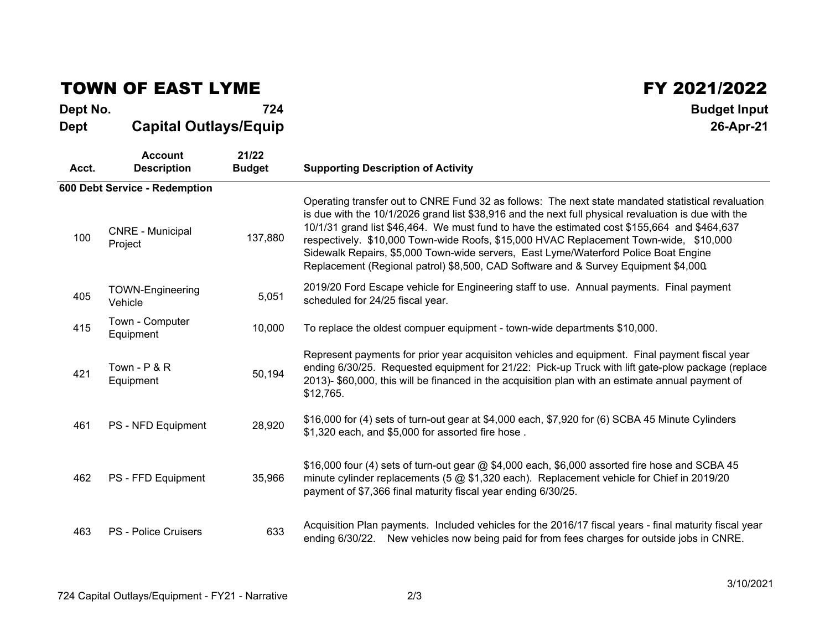## TOWN OF EAST LYME

**Dept No. <sup>724</sup> Budget Input Dept Capital Outlays/Equip**

| Acct. | <b>Account</b><br><b>Description</b> | 21/22<br><b>Budget</b> | <b>Supporting Description of Activity</b>                                                                                                                                                                                                                                                                                                                                                                                                                                                                                                                                         |
|-------|--------------------------------------|------------------------|-----------------------------------------------------------------------------------------------------------------------------------------------------------------------------------------------------------------------------------------------------------------------------------------------------------------------------------------------------------------------------------------------------------------------------------------------------------------------------------------------------------------------------------------------------------------------------------|
|       | 600 Debt Service - Redemption        |                        |                                                                                                                                                                                                                                                                                                                                                                                                                                                                                                                                                                                   |
| 100   | <b>CNRE - Municipal</b><br>Project   | 137,880                | Operating transfer out to CNRE Fund 32 as follows: The next state mandated statistical revaluation<br>is due with the 10/1/2026 grand list \$38,916 and the next full physical revaluation is due with the<br>10/1/31 grand list \$46,464. We must fund to have the estimated cost \$155,664 and \$464,637<br>respectively. \$10,000 Town-wide Roofs, \$15,000 HVAC Replacement Town-wide, \$10,000<br>Sidewalk Repairs, \$5,000 Town-wide servers, East Lyme/Waterford Police Boat Engine<br>Replacement (Regional patrol) \$8,500, CAD Software and & Survey Equipment \$4,000. |
| 405   | <b>TOWN-Engineering</b><br>Vehicle   | 5,051                  | 2019/20 Ford Escape vehicle for Engineering staff to use. Annual payments. Final payment<br>scheduled for 24/25 fiscal year.                                                                                                                                                                                                                                                                                                                                                                                                                                                      |
| 415   | Town - Computer<br>Equipment         | 10,000                 | To replace the oldest compuer equipment - town-wide departments \$10,000.                                                                                                                                                                                                                                                                                                                                                                                                                                                                                                         |
| 421   | Town - P & R<br>Equipment            | 50,194                 | Represent payments for prior year acquisiton vehicles and equipment. Final payment fiscal year<br>ending 6/30/25. Requested equipment for 21/22: Pick-up Truck with lift gate-plow package (replace<br>2013)- \$60,000, this will be financed in the acquisition plan with an estimate annual payment of<br>\$12,765.                                                                                                                                                                                                                                                             |
| 461   | PS - NFD Equipment                   | 28,920                 | \$16,000 for (4) sets of turn-out gear at \$4,000 each, \$7,920 for (6) SCBA 45 Minute Cylinders<br>\$1,320 each, and \$5,000 for assorted fire hose.                                                                                                                                                                                                                                                                                                                                                                                                                             |
| 462   | PS - FFD Equipment                   | 35,966                 | $$16,000$ four (4) sets of turn-out gear @ $$4,000$ each, $$6,000$ assorted fire hose and SCBA 45<br>minute cylinder replacements $(5 \text{ @ } $1,320 \text{ each})$ . Replacement vehicle for Chief in 2019/20<br>payment of \$7,366 final maturity fiscal year ending 6/30/25.                                                                                                                                                                                                                                                                                                |
| 463   | <b>PS</b> - Police Cruisers          | 633                    | Acquisition Plan payments. Included vehicles for the 2016/17 fiscal years - final maturity fiscal year<br>ending 6/30/22. New vehicles now being paid for from fees charges for outside jobs in CNRE.                                                                                                                                                                                                                                                                                                                                                                             |

**26-Apr-21**

## $\begin{array}{c|c} \textbf{FY } 2021/2022 \end{array}$ <br>724 Budget Input